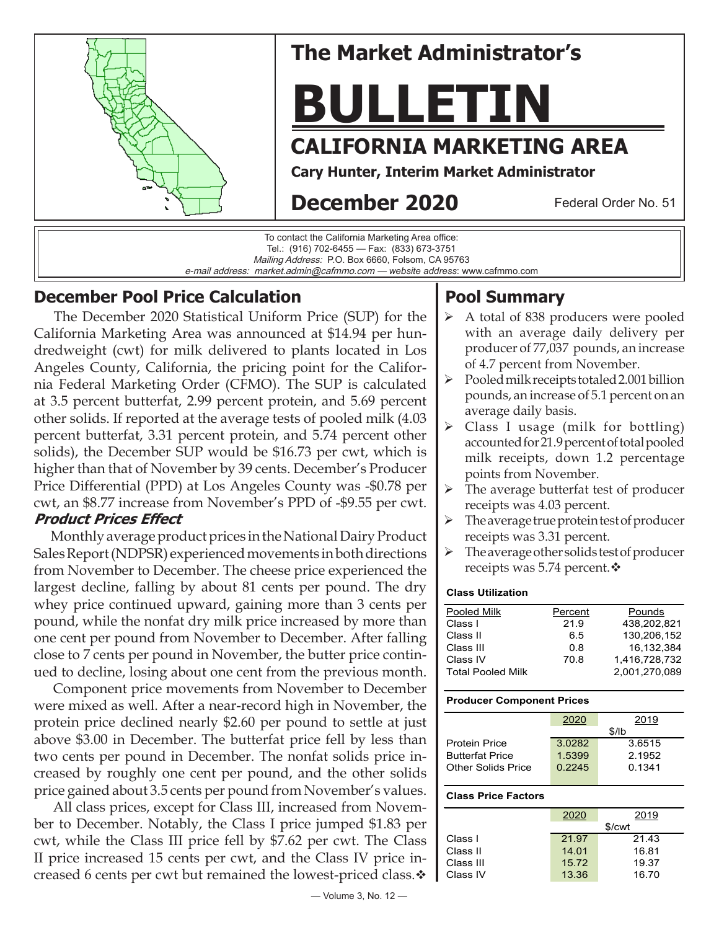

## **The Market Administrator's**

# **BULLETIN**

## **CALIFORNIA MARKETING AREA**

**Pool Summary**

average daily basis.

points from November.

receipts was 4.03 percent.

receipts was 3.31 percent.

receipts was 5.74 percent. $\mathbf{\hat{v}}$ 

Pooled Milk **Percent** Pounds Class I 21.9 438,202,821<br>Class II 6.5 130.206.152

Class III 0.8 16,132,384 Class IV 70.8 1,416,728,732 Total Pooled Milk 2,001,270,089

6.5 130,206,152

 $\triangleright$  A total of 838 producers were pooled with an average daily delivery per producer of 77,037 pounds, an increase

 $\triangleright$  Class I usage (milk for bottling) accounted for 21.9 percent of total pooled milk receipts, down 1.2 percentage

 $\triangleright$  The average butterfat test of producer

 $\triangleright$  The average true protein test of producer

 $\triangleright$  The average other solids test of producer

of 4.7 percent from November.  $\triangleright$  Pooled milk receipts totaled 2.001 billion pounds, an increase of 5.1 percent on an

**Cary Hunter, Interim Market Administrator**

## **December 2020**

Federal Order No. 51



#### **December Pool Price Calculation**

 The December 2020 Statistical Uniform Price (SUP) for the California Marketing Area was announced at \$14.94 per hundredweight (cwt) for milk delivered to plants located in Los Angeles County, California, the pricing point for the California Federal Marketing Order (CFMO). The SUP is calculated at 3.5 percent butterfat, 2.99 percent protein, and 5.69 percent other solids. If reported at the average tests of pooled milk (4.03 percent butterfat, 3.31 percent protein, and 5.74 percent other solids), the December SUP would be \$16.73 per cwt, which is higher than that of November by 39 cents. December's Producer Price Differential (PPD) at Los Angeles County was -\$0.78 per cwt, an \$8.77 increase from November's PPD of -\$9.55 per cwt. **Product Prices Effect** 

 Monthly average product prices in the National Dairy Product Sales Report (NDPSR) experienced movements in both directions from November to December. The cheese price experienced the largest decline, falling by about 81 cents per pound. The dry whey price continued upward, gaining more than 3 cents per pound, while the nonfat dry milk price increased by more than one cent per pound from November to December. After falling close to 7 cents per pound in November, the butter price continued to decline, losing about one cent from the previous month.

 Component price movements from November to December were mixed as well. After a near-record high in November, the protein price declined nearly \$2.60 per pound to settle at just above \$3.00 in December. The butterfat price fell by less than two cents per pound in December. The nonfat solids price increased by roughly one cent per pound, and the other solids price gained about 3.5 cents per pound from November's values.

 All class prices, except for Class III, increased from November to December. Notably, the Class I price jumped \$1.83 per cwt, while the Class III price fell by \$7.62 per cwt. The Class II price increased 15 cents per cwt, and the Class IV price increased 6 cents per cwt but remained the lowest-priced class. $\mathbf{\hat{v}}$ 

## **Producer Component Prices**

|                        | 2020   | 2019   |  |  |
|------------------------|--------|--------|--|--|
|                        | \$/lb  |        |  |  |
| <b>Protein Price</b>   | 3.0282 | 3.6515 |  |  |
| <b>Butterfat Price</b> | 1.5399 | 2.1952 |  |  |
| Other Solids Price     | 0.2245 | 0.1341 |  |  |
|                        |        |        |  |  |

#### **Class Price Factors**

**Class Utilization**

| 2019               |  |  |  |
|--------------------|--|--|--|
| \$/ <sub>cut</sub> |  |  |  |
| 21.43              |  |  |  |
| 16.81              |  |  |  |
| 19.37              |  |  |  |
| 16.70              |  |  |  |
|                    |  |  |  |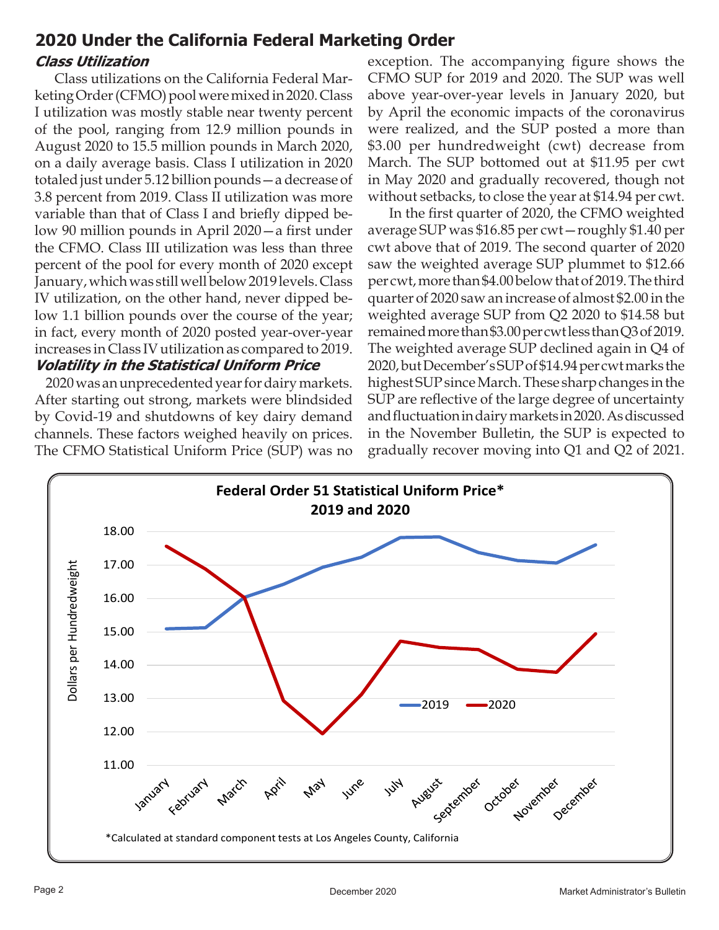#### **Class Utilization 2020 Under the California Federal Marketing Order**

 Class utilizations on the California Federal Marketing Order (CFMO) pool were mixed in 2020. Class I utilization was mostly stable near twenty percent of the pool, ranging from 12.9 million pounds in August 2020 to 15.5 million pounds in March 2020, on a daily average basis. Class I utilization in 2020 totaled just under 5.12 billion pounds—a decrease of 3.8 percent from 2019. Class II utilization was more variable than that of Class I and briefly dipped below 90 million pounds in April 2020—a first under the CFMO. Class III utilization was less than three percent of the pool for every month of 2020 except January, which was still well below 2019 levels. Class IV utilization, on the other hand, never dipped below 1.1 billion pounds over the course of the year; in fact, every month of 2020 posted year-over-year increases in Class IV utilization as compared to 2019. **Volatility in the Statistical Uniform Price**

 2020 was an unprecedented year for dairy markets. After starting out strong, markets were blindsided by Covid-19 and shutdowns of key dairy demand channels. These factors weighed heavily on prices. The CFMO Statistical Uniform Price (SUP) was no exception. The accompanying figure shows the CFMO SUP for 2019 and 2020. The SUP was well above year-over-year levels in January 2020, but by April the economic impacts of the coronavirus were realized, and the SUP posted a more than \$3.00 per hundredweight (cwt) decrease from March. The SUP bottomed out at \$11.95 per cwt in May 2020 and gradually recovered, though not without setbacks, to close the year at \$14.94 per cwt.

 In the first quarter of 2020, the CFMO weighted average SUP was \$16.85 per cwt—roughly \$1.40 per cwt above that of 2019. The second quarter of 2020 saw the weighted average SUP plummet to \$12.66 per cwt, more than \$4.00 below that of 2019. The third quarter of 2020 saw an increase of almost \$2.00 in the weighted average SUP from Q2 2020 to \$14.58 but remained more than \$3.00 per cwt less than Q3 of 2019. The weighted average SUP declined again in Q4 of 2020, but December's SUP of \$14.94 per cwt marks the highest SUP since March. These sharp changes in the SUP are reflective of the large degree of uncertainty and fluctuation in dairy markets in 2020. As discussed in the November Bulletin, the SUP is expected to gradually recover moving into Q1 and Q2 of 2021.

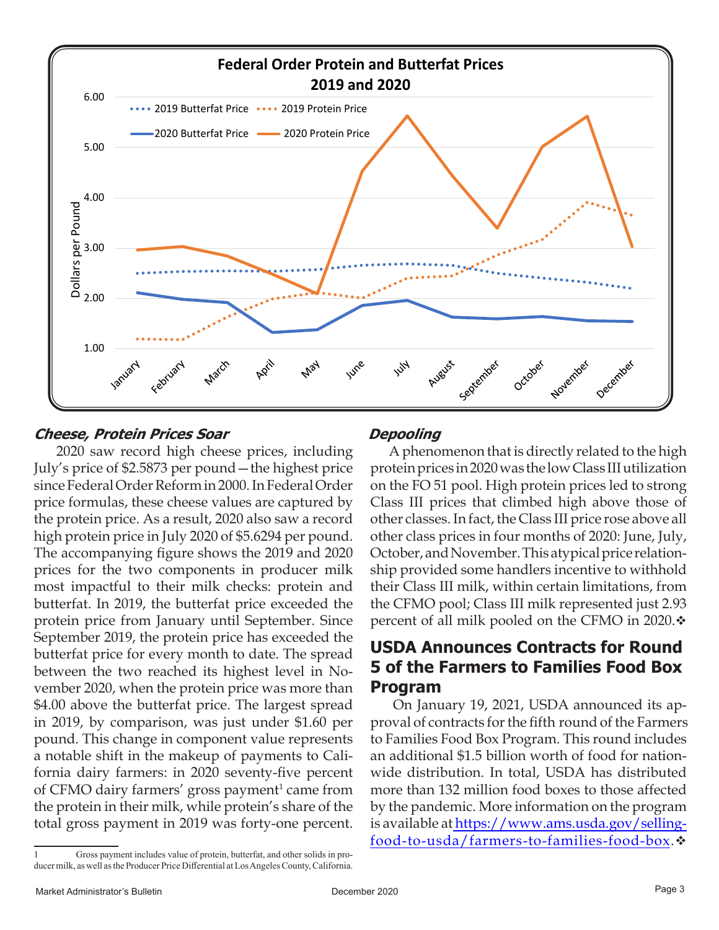

#### **Cheese, Protein Prices Soar**

 2020 saw record high cheese prices, including July's price of \$2.5873 per pound—the highest price since Federal Order Reform in 2000. In Federal Order price formulas, these cheese values are captured by the protein price. As a result, 2020 also saw a record high protein price in July 2020 of \$5.6294 per pound. The accompanying figure shows the 2019 and 2020 prices for the two components in producer milk most impactful to their milk checks: protein and butterfat. In 2019, the butterfat price exceeded the protein price from January until September. Since September 2019, the protein price has exceeded the butterfat price for every month to date. The spread between the two reached its highest level in November 2020, when the protein price was more than \$4.00 above the butterfat price. The largest spread in 2019, by comparison, was just under \$1.60 per pound. This change in component value represents a notable shift in the makeup of payments to California dairy farmers: in 2020 seventy-five percent of CFMO dairy farmers' gross payment<sup>1</sup> came from the protein in their milk, while protein's share of the total gross payment in 2019 was forty-one percent.

#### **Depooling**

 A phenomenon that is directly related to the high protein prices in 2020 was the low Class III utilization on the FO 51 pool. High protein prices led to strong Class III prices that climbed high above those of other classes. In fact, the Class III price rose above all other class prices in four months of 2020: June, July, October, and November. This atypical price relationship provided some handlers incentive to withhold their Class III milk, within certain limitations, from the CFMO pool; Class III milk represented just 2.93 percent of all milk pooled on the CFMO in 2020. $\div$ 

### **USDA Announces Contracts for Round 5 of the Farmers to Families Food Box Program**

 On January 19, 2021, USDA announced its approval of contracts for the fifth round of the Farmers to Families Food Box Program. This round includes an additional \$1.5 billion worth of food for nationwide distribution. In total, USDA has distributed more than 132 million food boxes to those affected by the pandemic. More information on the program is available at https://www.ams.usda.gov/selling[food-to-usda/farmers-to-families-food-box.](https://www.ams.usda.gov/selling-food-to-usda/farmers-to-families-food-box)

<sup>1</sup> Gross payment includes value of protein, butterfat, and other solids in producer milk, as well as the Producer Price Differential at Los Angeles County, California.